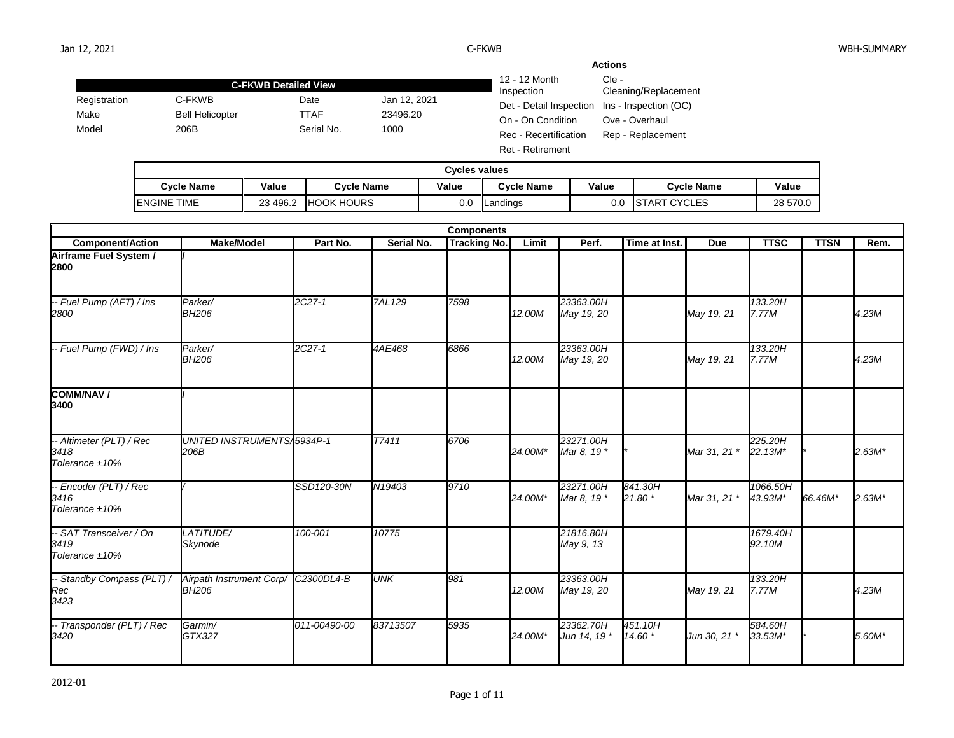|              |                             |                             |                                 |                                               | <b>Actions</b>    |
|--------------|-----------------------------|-----------------------------|---------------------------------|-----------------------------------------------|-------------------|
|              | <b>C-FKWB Detailed View</b> | 12 - 12 Month<br>Inspection | $Cie -$<br>Cleaning/Replacement |                                               |                   |
| Registration | C-FKWB                      | Date                        | Jan 12, 2021                    | Det - Detail Inspection Ins - Inspection (OC) |                   |
| Make         | <b>Bell Helicopter</b>      | TTAF                        | 23496.20                        | On - On Condition                             | Ove - Overhaul    |
| Model        | 206B                        | Serial No.                  | 1000                            | Rec - Recertification                         | Rep - Replacement |
|              |                             |                             |                                 | <b>Ret - Retirement</b>                       |                   |

| <b>Cycles values</b> |                       |                   |       |            |       |                                |          |  |  |  |  |
|----------------------|-----------------------|-------------------|-------|------------|-------|--------------------------------|----------|--|--|--|--|
| Cvcle Name           | Value                 | <b>Cycle Name</b> | Value | Cvcle Name | Value | <b>Cycle Name</b>              | Value    |  |  |  |  |
| <b>ENGINE TIME</b>   | $\sim$<br>496.2<br>ںے | <b>HOOK HOURS</b> | 0.0   | Landings   | 0.0   | <b>CYCLES</b><br><b>ISTART</b> | 28 570.0 |  |  |  |  |

| <b>Components</b>                                     |                                          |              |               |                     |         |                           |                    |              |                     |             |          |
|-------------------------------------------------------|------------------------------------------|--------------|---------------|---------------------|---------|---------------------------|--------------------|--------------|---------------------|-------------|----------|
| <b>Component/Action</b>                               | <b>Make/Model</b>                        | Part No.     | Serial No.    | <b>Tracking No.</b> | Limit   | Perf.                     | Time at Inst.      | <b>Due</b>   | <b>TTSC</b>         | <b>TTSN</b> | Rem.     |
| Airframe Fuel System /<br>2800                        |                                          |              |               |                     |         |                           |                    |              |                     |             |          |
| -- Fuel Pump (AFT) / Ins<br>2800                      | Parker/<br><b>BH206</b>                  | 2C27-1       | <b>7AL129</b> | 7598                | 12.00M  | 23363.00H<br>May 19, 20   |                    | May 19, 21   | 133.20H<br>7.77M    |             | 4.23M    |
| -- Fuel Pump (FWD) / Ins                              | Parker/<br><b>BH206</b>                  | 2C27-1       | 4AE468        | 6866                | 12.00M  | 23363.00H<br>May 19, 20   |                    | May 19, 21   | 133.20H<br>7.77M    |             | 4.23M    |
| <b>COMM/NAV/</b><br>3400                              |                                          |              |               |                     |         |                           |                    |              |                     |             |          |
| -- Altimeter (PLT) / Rec<br>3418<br>Tolerance $±10\%$ | UNITED INSTRUMENTS/5934P-1<br>206B       |              | T7411         | 6706                | 24.00M* | 23271.00H<br>Mar 8, 19 *  |                    | Mar 31, 21 * | 225.20H<br>22.13M*  |             | $2.63M*$ |
| -- Encoder (PLT) / Rec<br>3416<br>Tolerance $±10\%$   |                                          | SSD120-30N   | N19403        | 9710                | 24.00M* | 23271.00H<br>Mar 8, 19 *  | 841.30H<br>21.80 * | Mar 31, 21 * | 1066.50H<br>43.93M* | 66.46M*     | $2.63M*$ |
| -- SAT Transceiver / On<br>3419<br>Tolerance ±10%     | LATITUDE/<br>Skynode                     | 100-001      | 10775         |                     |         | 21816.80H<br>May 9, 13    |                    |              | 1679.40H<br>92.10M  |             |          |
| -- Standby Compass (PLT) /<br>Rec<br>3423             | Airpath Instrument Corp/<br><b>BH206</b> | C2300DL4-B   | <b>UNK</b>    | 981                 | 12.00M  | 23363.00H<br>May 19, 20   |                    | May 19, 21   | 133.20H<br>7.77M    |             | 4.23M    |
| -- Transponder (PLT) / Rec<br>3420                    | Garmin/<br>GTX327                        | 011-00490-00 | 83713507      | 5935                | 24.00M* | 23362.70H<br>Jun 14, 19 * | 451.10H<br>14.60 * | Jun 30, 21 * | 584.60H<br>33.53M*  |             | 5.60M*   |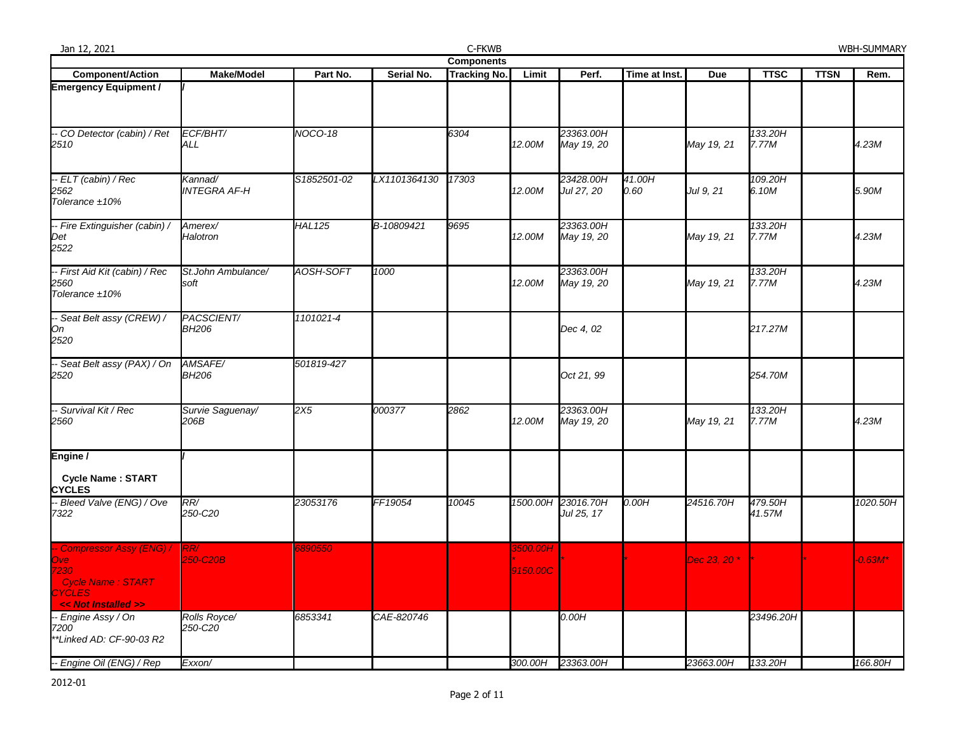| Jan 12, 2021                                                                                                  |                                |                |              | C-FKWB              |                      |                         |                |                         |                   |             | WBH-SUMMARY |
|---------------------------------------------------------------------------------------------------------------|--------------------------------|----------------|--------------|---------------------|----------------------|-------------------------|----------------|-------------------------|-------------------|-------------|-------------|
|                                                                                                               |                                |                |              | <b>Components</b>   |                      |                         |                |                         |                   |             |             |
| <b>Component/Action</b>                                                                                       | <b>Make/Model</b>              | Part No.       | Serial No.   | <b>Tracking No.</b> | Limit                | Perf.                   | Time at Inst.  | <b>Due</b>              | <b>TTSC</b>       | <b>TTSN</b> | Rem.        |
| <b>Emergency Equipment /</b>                                                                                  |                                |                |              |                     |                      |                         |                |                         |                   |             |             |
| - CO Detector (cabin) / Ret<br>2510                                                                           | ECF/BHT/<br>ALL                | <b>NOCO-18</b> |              | 6304                | 12.00M               | 23363.00H<br>May 19, 20 |                | May 19, 21              | 133.20H<br>7.77M  |             | 4.23M       |
| -- ELT (cabin) / Rec<br>2562<br>Tolerance ±10%                                                                | Kannad/<br><b>INTEGRA AF-H</b> | S1852501-02    | LX1101364130 | 17303               | 12.00M               | 23428.00H<br>Jul 27, 20 | 41.00H<br>0.60 | Jul 9, 21               | 109.20H<br>6.10M  |             | 5.90M       |
| -- Fire Extinguisher (cabin) /<br>Det<br>2522                                                                 | Amerex/<br>Halotron            | <b>HAL125</b>  | B-10809421   | 9695                | 12.00M               | 23363.00H<br>May 19, 20 |                | May 19, 21              | 133.20H<br>7.77M  |             | 4.23M       |
| -- First Aid Kit (cabin) / Rec<br>2560<br>Tolerance ±10%                                                      | St.John Ambulance/<br>soft     | AOSH-SOFT      | 1000         |                     | 12.00M               | 23363.00H<br>May 19, 20 |                | May 19, 21              | 133.20H<br>7.77M  |             | 4.23M       |
| -- Seat Belt assy (CREW) /<br>On<br>2520                                                                      | PACSCIENT/<br><b>BH206</b>     | 1101021-4      |              |                     |                      | Dec 4, 02               |                |                         | 217.27M           |             |             |
| - Seat Belt assy (PAX) / On<br>2520                                                                           | AMSAFE/<br><b>BH206</b>        | 501819-427     |              |                     |                      | Oct 21, 99              |                |                         | 254.70M           |             |             |
| -- Survival Kit / Rec<br>2560                                                                                 | Survie Saguenay/<br>206B       | 2X5            | 000377       | 2862                | 12.00M               | 23363.00H<br>May 19, 20 |                | May 19, 21              | 133.20H<br>7.77M  |             | 4.23M       |
| Engine /<br><b>Cycle Name: START</b><br><b>CYCLES</b>                                                         |                                |                |              |                     |                      |                         |                |                         |                   |             |             |
| - Bleed Valve (ENG) / Ove<br>7322                                                                             | RR/<br>250-C20                 | 23053176       | FF19054      | 10045               | 1500.00H             | 23016.70H<br>Jul 25, 17 | 0.00H          | 24516.70H               | 479.50H<br>41.57M |             | 1020.50H    |
| - Compressor Assy (ENG) /<br>Ove:<br>7230<br><b>Cycle Name: START</b><br><b>CYCLES</b><br><< Not Installed >> | RR/<br>250-C20B                | 890550         |              |                     | 3500.00H<br>9150.00C |                         |                | Dec 23, 20 <sup>*</sup> |                   |             | $-0.63M*$   |
| - Engine Assy / On<br>7200<br>*Linked AD: CF-90-03 R2                                                         | Rolls Royce/<br>250-C20        | 6853341        | CAE-820746   |                     |                      | 0.00H                   |                |                         | 23496.20H         |             |             |
| -- Engine Oil (ENG) / Rep                                                                                     | Exxon/                         |                |              |                     |                      | 300.00H 23363.00H       |                | 23663.00H               | 133.20H           |             | 166.80H     |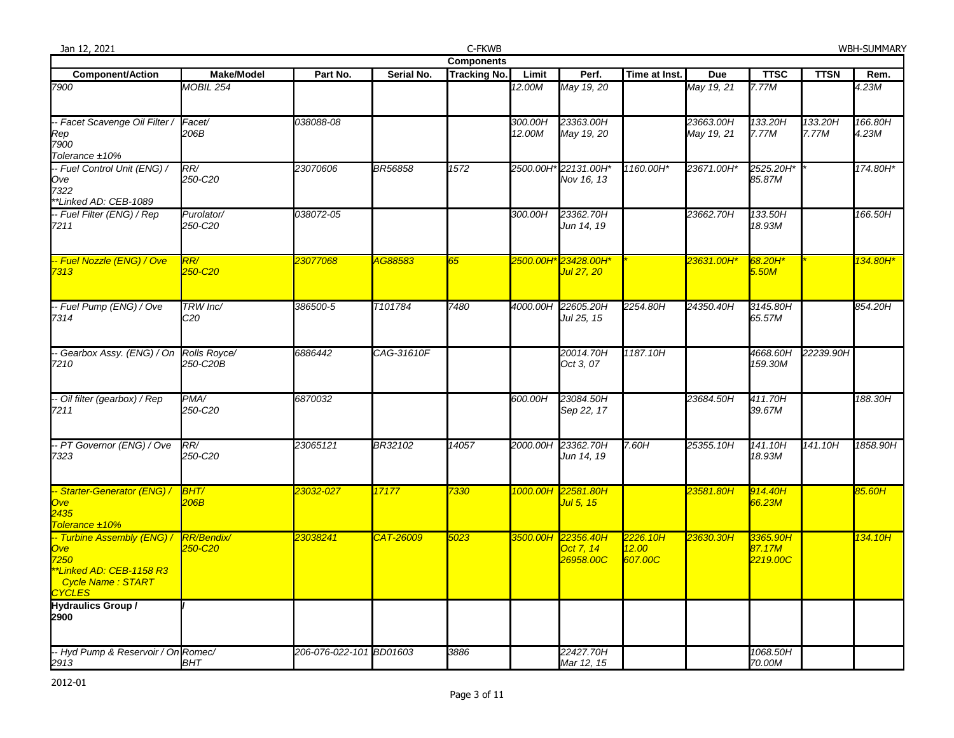| Jan 12, 2021                                                                                                              |                              |                         |                      | C-FKWB              |                   |                                              |                              |                         |                                |                  | <b>WBH-SUMMARY</b> |
|---------------------------------------------------------------------------------------------------------------------------|------------------------------|-------------------------|----------------------|---------------------|-------------------|----------------------------------------------|------------------------------|-------------------------|--------------------------------|------------------|--------------------|
|                                                                                                                           |                              |                         |                      | <b>Components</b>   |                   |                                              |                              |                         |                                |                  |                    |
| <b>Component/Action</b>                                                                                                   | <b>Make/Model</b>            | Part No.                | Serial No.           | <b>Tracking No.</b> | Limit             | Perf.                                        | Time at Inst.                | Due                     | <b>TTSC</b>                    | <b>TTSN</b>      | Rem.               |
| 7900                                                                                                                      | <b>MOBIL 254</b>             |                         |                      |                     | 12.00M            | May 19, 20                                   |                              | May 19, 21              | 7.77M                          |                  | 4.23M              |
| -- Facet Scavenge Oil Filter /<br>Rep<br>7900<br>Tolerance ±10%                                                           | Facet/<br>206B               | 038088-08               |                      |                     | 300.00H<br>12.00M | 23363.00H<br>May 19, 20                      |                              | 23663.00H<br>May 19, 21 | 133.20H<br>7.77M               | 133.20H<br>7.77M | 166.80H<br>4.23M   |
| -- Fuel Control Unit (ENG) /<br>Ove<br>7322<br>*Linked AD: CEB-1089                                                       | RR/<br>250-C20               | 23070606                | <b>BR56858</b>       | 1572                |                   | 2500.00H* 22131.00H*<br>Nov 16, 13           | 1160.00H*                    | 23671.00H*              | 2525.20H*<br>85.87M            |                  | 174.80H*           |
| -- Fuel Filter (ENG) / Rep<br>7211                                                                                        | Purolator/<br>250-C20        | 038072-05               |                      |                     | 300.00H           | 23362.70H<br>Jun 14, 19                      |                              | 23662.70H               | 133.50H<br>18.93M              |                  | 166.50H            |
| <mark>-- Fuel Nozzle (ENG) / Ove</mark><br>7313                                                                           | RR/<br>250-C20               | 23077068                | <mark>AG88583</mark> | 65                  |                   | <mark>Jul 27, 20</mark>                      |                              | 23631.00H*              | 68.20H*<br>5.50M               |                  | 134.80H*           |
| -- Fuel Pump (ENG) / Ove<br>7314                                                                                          | TRW Inc/<br>C20              | 386500-5                | T101784              | 7480                | 4000.00H          | 22605.20H<br>Jul 25, 15                      | 2254.80H                     | 24350.40H               | 3145.80H<br>65.57M             |                  | 854.20H            |
| - Gearbox Assy. (ENG) / On Rolls Royce/<br>7210                                                                           | 250-C20B                     | 6886442                 | CAG-31610F           |                     |                   | 20014.70H<br>Oct 3, 07                       | 1187.10H                     |                         | 4668.60H<br>159.30M            | 22239.90H        |                    |
| -- Oil filter (gearbox) / Rep<br>7211                                                                                     | PMA<br>250-C20               | 6870032                 |                      |                     | 600.00H           | 23084.50H<br>Sep 22, 17                      |                              | 23684.50H               | 411.70H<br>39.67M              |                  | 188.30H            |
| -- PT Governor (ENG) / Ove<br>7323                                                                                        | RR/<br>250-C20               | 23065121                | BR32102              | 14057               |                   | 2000.00H 23362.70H<br>Jun 14, 19             | 7.60H                        | 25355.10H               | 141.10H<br>18.93M              | 141.10H          | 1858.90H           |
| -- Starter-Generator (ENG) /<br><b>Ove</b><br>2435<br>Tolerance ±10%                                                      | <b>BHT/</b><br>206B          | 23032-027               | 17177                | 7330                |                   | 1000.00Н 22581.80Н<br>Jul 5, 15              |                              | 23581.80H               | 914.40H<br>66.23M              |                  | 85.60H             |
| -- Turbine Assembly (ENG) /<br><b>Ove</b><br>7250<br>*Linked AD: CEB-1158 R3<br><b>Cycle Name: START</b><br><b>CYCLES</b> | <b>RR/Bendix/</b><br>250-C20 | 23038241                | CAT-26009            | 5023                |                   | 3500.00H 22356.40H<br>Oct 7, 14<br>26958.00C | 2226.10H<br>12.00<br>607.00C | 23630.30H               | 3365.90H<br>87.17M<br>2219.00C |                  | 134.10H            |
| <b>Hydraulics Group /</b><br>2900                                                                                         |                              |                         |                      |                     |                   |                                              |                              |                         |                                |                  |                    |
| -- Hyd Pump & Reservoir / On Romec/<br>2913                                                                               | <b>BHT</b>                   | 206-076-022-101 BD01603 |                      | 3886                |                   | 22427.70H<br>Mar 12, 15                      |                              |                         | 1068.50H<br>70.00M             |                  |                    |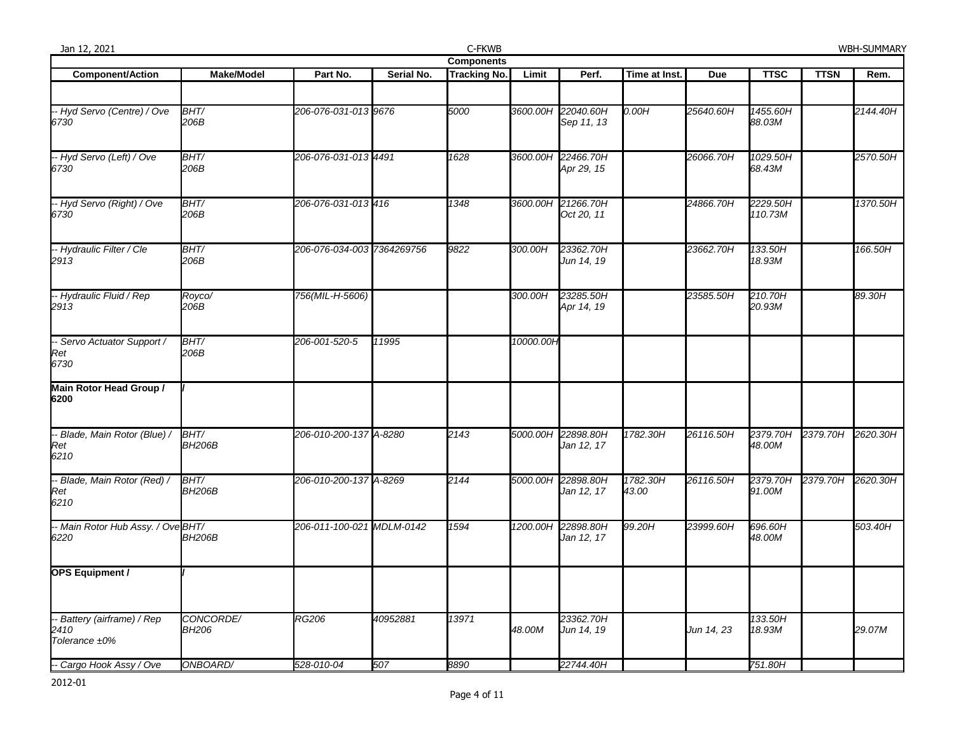| Jan 12, 2021                                      |                           |                            |            | C-FKWB              |           |                                  |                   |            |                     |                   | WBH-SUMMARY |  |  |
|---------------------------------------------------|---------------------------|----------------------------|------------|---------------------|-----------|----------------------------------|-------------------|------------|---------------------|-------------------|-------------|--|--|
|                                                   | <b>Components</b>         |                            |            |                     |           |                                  |                   |            |                     |                   |             |  |  |
| <b>Component/Action</b>                           | <b>Make/Model</b>         | Part No.                   | Serial No. | <b>Tracking No.</b> | Limit     | Perf.                            | Time at Inst.     | <b>Due</b> | <b>TTSC</b>         | <b>TTSN</b>       | Rem.        |  |  |
| -- Hyd Servo (Centre) / Ove<br>6730               | BHT/<br>206B              | 206-076-031-013 9676       |            | 5000                |           | 3600.00H 22040.60H<br>Sep 11, 13 | 0.00H             | 25640.60H  | 1455.60H<br>88.03M  |                   | 2144.40H    |  |  |
| -- Hyd Servo (Left) / Ove<br>6730                 | BHT/<br>206B              | 206-076-031-013 4491       |            | 1628                | 3600.00H  | 22466.70H<br>Apr 29, 15          |                   | 26066.70H  | 1029.50H<br>68.43M  |                   | 2570.50H    |  |  |
| -- Hyd Servo (Right) / Ove<br>6730                | BHT/<br>206B              | 206-076-031-013 416        |            | 1348                |           | 3600.00H 21266.70H<br>Oct 20, 11 |                   | 24866.70H  | 2229.50H<br>110.73M |                   | 1370.50H    |  |  |
| -- Hydraulic Filter / Cle<br>2913                 | BHT/<br>206B              | 206-076-034-003 7364269756 |            | 9822                | 300.00H   | 23362.70H<br>Jun 14, 19          |                   | 23662.70H  | 133.50H<br>18.93M   |                   | 166.50H     |  |  |
| -- Hydraulic Fluid / Rep<br>2913                  | Royco/<br>206B            | 756(MIL-H-5606)            |            |                     | 300.00H   | 23285.50H<br>Apr 14, 19          |                   | 23585.50H  | 210.70H<br>20.93M   |                   | 89.30H      |  |  |
| -- Servo Actuator Support /<br>Ret<br>6730        | BHT/<br>206B              | 206-001-520-5              | 11995      |                     | 10000.00H |                                  |                   |            |                     |                   |             |  |  |
| Main Rotor Head Group /<br>6200                   |                           |                            |            |                     |           |                                  |                   |            |                     |                   |             |  |  |
| - Blade, Main Rotor (Blue) /<br>Ret<br>6210       | BHT/<br><b>BH206B</b>     | 206-010-200-137 A-8280     |            | 2143                | 5000.00H  | 22898.80H<br>Jan 12, 17          | 1782.30H          | 26116.50H  | 2379.70H<br>48.00M  | 2379.70H          | 2620.30H    |  |  |
| - Blade, Main Rotor (Red) /<br>Ret<br>6210        | BHT/<br><b>BH206B</b>     | 206-010-200-137 A-8269     |            | 2144                |           | 5000.00H 22898.80H<br>Jan 12, 17 | 1782.30H<br>43.00 | 26116.50H  | 2379.70H<br>91.00M  | 2379.70H 2620.30H |             |  |  |
| -- Main Rotor Hub Assy. / Ove BHT/<br>6220        | <b>BH206B</b>             | 206-011-100-021 MDLM-0142  |            | 1594                | 1200.00H  | 22898.80H<br>Jan 12, 17          | 99.20H            | 23999.60H  | 696.60H<br>48.00M   |                   | 503.40H     |  |  |
| <b>OPS Equipment /</b>                            |                           |                            |            |                     |           |                                  |                   |            |                     |                   |             |  |  |
| Battery (airframe) / Rep<br>2410<br>Tolerance ±0% | CONCORDE/<br><b>BH206</b> | <b>RG206</b>               | 40952881   | 13971               | 48.00M    | 23362.70H<br>Jun 14, 19          |                   | Jun 14, 23 | 133.50H<br>18.93M   |                   | 29.07M      |  |  |
| -- Cargo Hook Assy / Ove                          | ONBOARD/                  | 528-010-04                 | 507        | 8890                |           | 22744.40H                        |                   |            | 751.80H             |                   |             |  |  |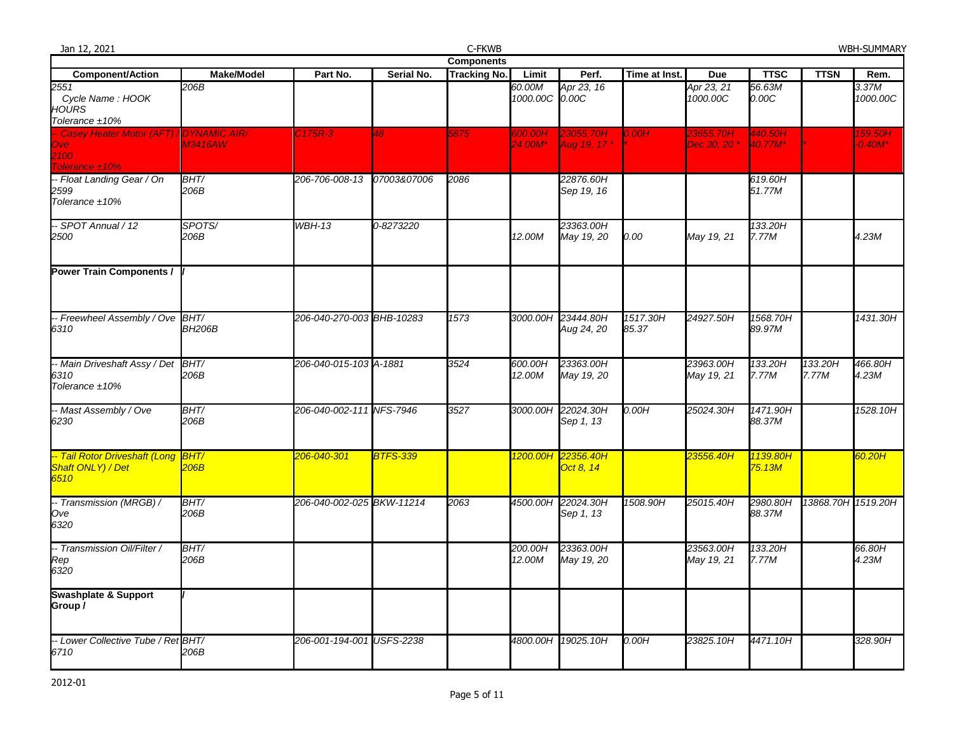| Jan 12, 2021                                                                |                   |                           |                 | C-FKWB              |                          |                                  |                   |                           |                                              |                    | <b>WBH-SUMMARY</b>      |
|-----------------------------------------------------------------------------|-------------------|---------------------------|-----------------|---------------------|--------------------------|----------------------------------|-------------------|---------------------------|----------------------------------------------|--------------------|-------------------------|
|                                                                             |                   |                           |                 | <b>Components</b>   |                          |                                  |                   |                           |                                              |                    |                         |
| <b>Component/Action</b>                                                     | <b>Make/Model</b> | Part No.                  | Serial No.      | <b>Tracking No.</b> | Limit                    | Perf.                            | Time at Inst.     | <b>Due</b>                | <b>TTSC</b>                                  | <b>TTSN</b>        | Rem.                    |
| 2551<br>Cycle Name: HOOK<br><b>HOURS</b><br>Tolerance ±10%                  | 206B              |                           |                 |                     | 60.00M<br>1000.00C 0.00C | Apr 23, 16                       |                   | Apr 23, 21<br>1000.00C    | 56.63M<br>0.00C                              |                    | 3.37M<br>1000.00C       |
| - Casey Heater Motor (AFT) / DYNAMIC AIR/<br>Ove:<br>2100<br>Tolerance ±10% | <b>M3416AW</b>    | C <sub>175R-3</sub>       | 48              | 5875                | 600.00H<br>24.00M*       | 23055.70H<br>Aug 19, 17 *        | 0.00H             | 23655.70H<br>Dec 30, 20 * | 440.50H<br>$40.77M*$                         |                    | 159.50H<br>$-0.40M^{*}$ |
| -- Float Landing Gear / On<br>2599<br>Tolerance ±10%                        | BHT/<br>206B      | 206-706-008-13            | 07003&07006     | 2086                |                          | 22876.60H<br>Sep 19, 16          |                   |                           | 619.60H<br>51.77M                            |                    |                         |
| -- SPOT Annual / 12<br>2500                                                 | SPOTS/<br>206B    | <b>WBH-13</b>             | 0-8273220       |                     | 12.00M                   | 23363.00H<br>May 19, 20          | 0.00              | May 19, 21                | 133.20H<br>7.77M                             |                    | 4.23M                   |
| <b>Power Train Components /</b>                                             |                   |                           |                 |                     |                          |                                  |                   |                           |                                              |                    |                         |
| -- Freewheel Assembly / Ove BHT/<br>6310                                    | <b>BH206B</b>     | 206-040-270-003 BHB-10283 |                 | 1573                |                          | 3000.00H 23444.80H<br>Aug 24, 20 | 1517.30H<br>85.37 | 24927.50H                 | 1568.70H<br>89.97M                           |                    | 1431.30H                |
| -- Main Driveshaft Assy / Det<br>6310<br>Tolerance $±10\%$                  | BHT/<br>206B      | 206-040-015-103 A-1881    |                 | 3524                | 600.00H<br>12.00M        | 23363.00H<br>May 19, 20          |                   | 23963.00H<br>May 19, 21   | 133.20H<br>7.77M                             | 133.20H<br>7.77M   | 466.80H<br>4.23M        |
| - Mast Assembly / Ove<br>6230                                               | BHT/<br>206B      | 206-040-002-111 NFS-7946  |                 | 3527                | 3000.00H                 | 22024.30H<br>Sep 1, 13           | 0.00H             | 25024.30H                 | 1471.90H<br>88.37M                           |                    | 1528.10H                |
| -- Tail Rotor Driveshaft (Long BHT/<br>Shaft ONLY) / Det<br>6510            | 206B              | 206-040-301               | <b>BTFS-339</b> |                     | 1200.00H                 | 22356.40H<br>Oct 8, 14           |                   | 23556.40H                 | <mark>1139.80H</mark><br><mark>75.13M</mark> |                    | 60.20H                  |
| -- Transmission (MRGB) /<br>Ove<br>6320                                     | BHT/<br>206B      | 206-040-002-025 BKW-11214 |                 | 2063                | 4500.00H                 | 22024.30H<br>Sep 1, 13           | 1508.90H          | 25015.40H                 | 2980.80H<br>88.37M                           | 13868.70H 1519.20H |                         |
| -- Transmission Oil/Filter /<br>Rep<br>6320                                 | BHT/<br>206B      |                           |                 |                     | 200.00H<br>12.00M        | 23363.00H<br>May 19, 20          |                   | 23563.00H<br>May 19, 21   | 133.20H<br>7.77M                             |                    | 66.80H<br>4.23M         |
| <b>Swashplate &amp; Support</b><br>Group/                                   |                   |                           |                 |                     |                          |                                  |                   |                           |                                              |                    |                         |
| -- Lower Collective Tube / Ret BHT/<br>6710                                 | 206B              | 206-001-194-001 USFS-2238 |                 |                     | 4800.00H                 | 19025.10H                        | 0.00H             | 23825.10H                 | 4471.10H                                     |                    | 328.90H                 |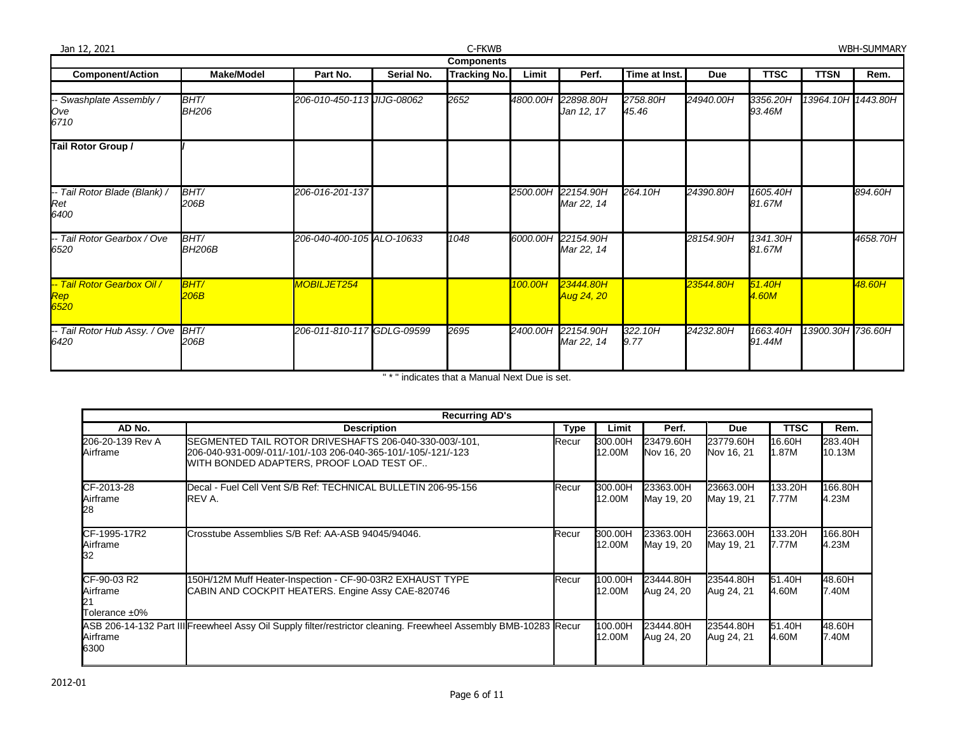| C-FKWB<br>Jan 12, 2021                       |                       |                            |            |                     |          |                                  |                   |           |                    | <b>WBH-SUMMARY</b> |          |
|----------------------------------------------|-----------------------|----------------------------|------------|---------------------|----------|----------------------------------|-------------------|-----------|--------------------|--------------------|----------|
|                                              |                       |                            |            | <b>Components</b>   |          |                                  |                   |           |                    |                    |          |
| <b>Component/Action</b>                      | <b>Make/Model</b>     | Part No.                   | Serial No. | <b>Tracking No.</b> | Limit    | Perf.                            | Time at Inst.     | Due       | <b>TTSC</b>        | <b>TTSN</b>        | Rem.     |
| -- Swashplate Assembly /<br>Ove<br>6710      | BHT/<br><b>BH206</b>  | 206-010-450-113 JIJG-08062 |            | 2652                | 4800.00H | 22898.80H<br>Jan 12, 17          | 2758.80H<br>45.46 | 24940.00H | 3356.20H<br>93.46M | 13964.10H 1443.80H |          |
| Tail Rotor Group /                           |                       |                            |            |                     |          |                                  |                   |           |                    |                    |          |
| -- Tail Rotor Blade (Blank) /<br>Ret<br>6400 | BHT/<br>206B          | 206-016-201-137            |            |                     |          | 2500.00H 22154.90H<br>Mar 22, 14 | 264.10H           | 24390.80H | 1605.40H<br>81.67M |                    | 894.60H  |
| -- Tail Rotor Gearbox / Ove<br>6520          | BHT/<br><b>BH206B</b> | 206-040-400-105 ALO-10633  |            | 1048                |          | 6000.00H 22154.90H<br>Mar 22, 14 |                   | 28154.90H | 1341.30H<br>81.67M |                    | 4658.70H |
| -- Tail Rotor Gearbox Oil /<br>Rep<br>6520   | <b>BHT/</b><br>206B   | MOBILJET254                |            |                     | 100.00H  | 23444.80H<br>Aug 24, 20          |                   | 23544.80H | 51.40H<br>4.60M    |                    | 48.60H   |
| -- Tail Rotor Hub Assy. / Ove<br>6420        | BHT/<br>206B          | 206-011-810-117 GDLG-09599 |            | 2695                |          | 2400.00H 22154.90H<br>Mar 22, 14 | 322.10H<br>9.77   | 24232.80H | 1663.40H<br>91.44M | 13900.30H 736.60H  |          |

" \* " indicates that a Manual Next Due is set.

|                                          | <b>Recurring AD's</b>                                                                                                                                               |             |                   |                         |                         |                  |                   |  |  |  |  |  |  |
|------------------------------------------|---------------------------------------------------------------------------------------------------------------------------------------------------------------------|-------------|-------------------|-------------------------|-------------------------|------------------|-------------------|--|--|--|--|--|--|
| AD No.                                   | <b>Description</b>                                                                                                                                                  | <b>Type</b> | Limit             | Perf.                   | <b>Due</b>              | <b>TTSC</b>      | Rem.              |  |  |  |  |  |  |
| 206-20-139 Rev A<br>Airframe             | SEGMENTED TAIL ROTOR DRIVESHAFTS 206-040-330-003/-101,<br>206-040-931-009/-011/-101/-103 206-040-365-101/-105/-121/-123<br>WITH BONDED ADAPTERS, PROOF LOAD TEST OF | Recur       | 300.00H<br>12.00M | 23479.60H<br>Nov 16, 20 | 23779.60H<br>Nov 16, 21 | 16.60H<br>1.87M  | 283.40H<br>10.13M |  |  |  |  |  |  |
| CF-2013-28<br>Airframe<br>28             | Decal - Fuel Cell Vent S/B Ref: TECHNICAL BULLETIN 206-95-156<br>REV A.                                                                                             | Recur       | 300.00H<br>12.00M | 23363.00H<br>May 19, 20 | 23663.00H<br>May 19, 21 | 133.20H<br>7.77M | 166.80H<br>4.23M  |  |  |  |  |  |  |
| CF-1995-17R2<br>Airframe<br>32           | Crosstube Assemblies S/B Ref: AA-ASB 94045/94046.                                                                                                                   | Recur       | 300.00H<br>12.00M | 23363.00H<br>May 19, 20 | 23663.00H<br>May 19, 21 | 133.20H<br>7.77M | 166.80H<br>4.23M  |  |  |  |  |  |  |
| CF-90-03 R2<br>Airframe<br>Tolerance ±0% | 150H/12M Muff Heater-Inspection - CF-90-03R2 EXHAUST TYPE<br>CABIN AND COCKPIT HEATERS. Engine Assy CAE-820746                                                      | Recur       | 100.00H<br>12.00M | 23444.80H<br>Aug 24, 20 | 23544.80H<br>Aug 24, 21 | 51.40H<br>4.60M  | 48.60H<br>7.40M   |  |  |  |  |  |  |
| Airframe<br>6300                         | ASB 206-14-132 Part III Freewheel Assy Oil Supply filter/restrictor cleaning. Freewheel Assembly BMB-10283 Recur                                                    |             | 100.00H<br>12.00M | 23444.80H<br>Aug 24, 20 | 23544.80H<br>Aug 24, 21 | 51.40H<br>4.60M  | 48.60H<br>7.40M   |  |  |  |  |  |  |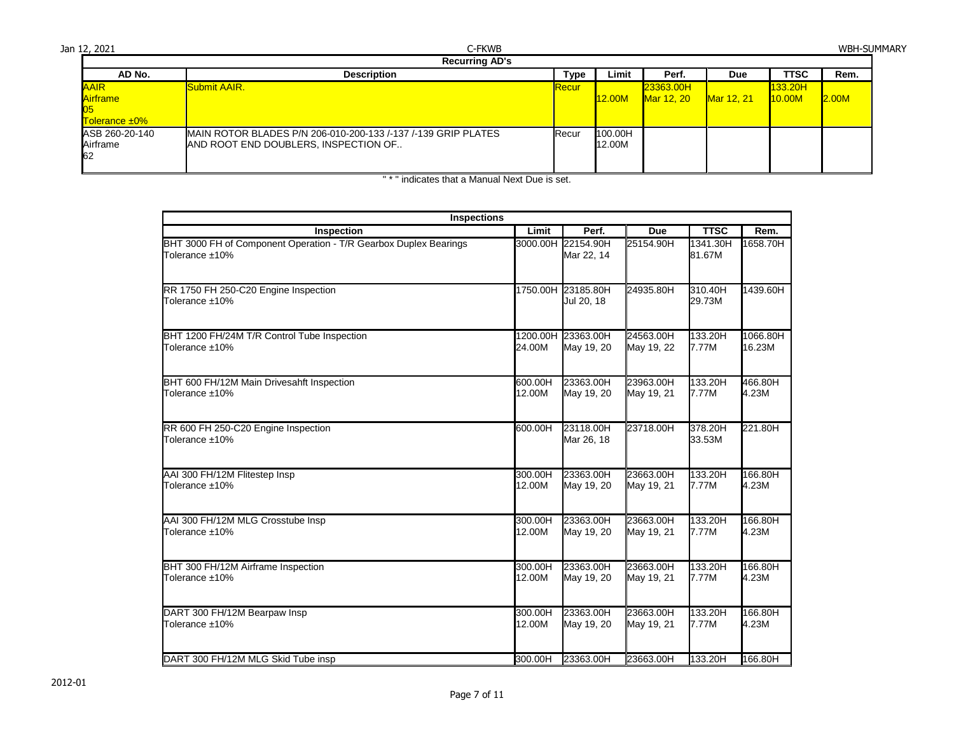| Jan 12, 2021                                    | C-FKWB<br><b>Recurring AD's</b>                                                                       |               |                   |                                |                   |                          | <b>WBH-SUMMARY</b> |
|-------------------------------------------------|-------------------------------------------------------------------------------------------------------|---------------|-------------------|--------------------------------|-------------------|--------------------------|--------------------|
| AD No.                                          | <b>Description</b>                                                                                    | Type          | Limit             | Perf.                          | Due               | TTSC                     | Rem.               |
| <b>AAIR</b><br><b>Airframe</b><br>Tolerance ±0% | Submit AAIR.                                                                                          | <b>IRecur</b> | <b>12.00M</b>     | 23363.00H<br><b>Mar 12, 20</b> | <b>Mar 12, 21</b> | 133.20H<br><b>10.00M</b> | 2.00M              |
| ASB 260-20-140<br>Airframe<br>62                | MAIN ROTOR BLADES P/N 206-010-200-133 /-137 /-139 GRIP PLATES<br>AND ROOT END DOUBLERS, INSPECTION OF | <b>Recur</b>  | 100.00H<br>12.00M |                                |                   |                          |                    |

| <b>Inspections</b>                                                                 |          |                                  |            |                    |          |
|------------------------------------------------------------------------------------|----------|----------------------------------|------------|--------------------|----------|
| Inspection                                                                         | Limit    | Perf.                            | <b>Due</b> | <b>TTSC</b>        | Rem.     |
| BHT 3000 FH of Component Operation - T/R Gearbox Duplex Bearings<br>Tolerance ±10% | 3000.00H | 22154.90H<br>Mar 22, 14          | 25154.90H  | 1341.30H<br>81.67M | 1658.70H |
| RR 1750 FH 250-C20 Engine Inspection<br>Tolerance ±10%                             |          | 1750.00H 23185.80H<br>Jul 20, 18 | 24935.80H  | 310.40H<br>29.73M  | 1439.60H |
| BHT 1200 FH/24M T/R Control Tube Inspection                                        | 1200.00H | 23363.00H                        | 24563.00H  | 133.20H            | 1066.80H |
| Tolerance ±10%                                                                     | 24.00M   | May 19, 20                       | May 19, 22 | 7.77M              | 16.23M   |
| BHT 600 FH/12M Main Drivesahft Inspection                                          | 600.00H  | 23363.00H                        | 23963.00H  | 133.20H            | 466.80H  |
| Tolerance ±10%                                                                     | 12.00M   | May 19, 20                       | May 19, 21 | 7.77M              | 4.23M    |
| RR 600 FH 250-C20 Engine Inspection<br>Tolerance ±10%                              | 600.00H  | 23118.00H<br>Mar 26, 18          | 23718.00H  | 378.20H<br>33.53M  | 221.80H  |
| AAI 300 FH/12M Flitestep Insp                                                      | 300.00H  | 23363.00H                        | 23663.00H  | 133.20H            | 166.80H  |
| Tolerance ±10%                                                                     | 12.00M   | May 19, 20                       | May 19, 21 | 7.77M              | 4.23M    |
| AAI 300 FH/12M MLG Crosstube Insp                                                  | 300.00H  | 23363.00H                        | 23663.00H  | 133.20H            | 166.80H  |
| Tolerance ±10%                                                                     | 12.00M   | May 19, 20                       | May 19, 21 | 7.77M              | 4.23M    |
| BHT 300 FH/12M Airframe Inspection                                                 | 300.00H  | 23363.00H                        | 23663.00H  | 133.20H            | 166.80H  |
| Tolerance ±10%                                                                     | 12.00M   | May 19, 20                       | May 19, 21 | 7.77M              | 4.23M    |
| DART 300 FH/12M Bearpaw Insp                                                       | 300.00H  | 23363.00H                        | 23663.00H  | 133.20H            | 166.80H  |
| Tolerance ±10%                                                                     | 12.00M   | May 19, 20                       | May 19, 21 | 7.77M              | 4.23M    |
| DART 300 FH/12M MLG Skid Tube insp                                                 | 300.00H  | 23363.00H                        | 23663.00H  | 133.20H            | 166.80H  |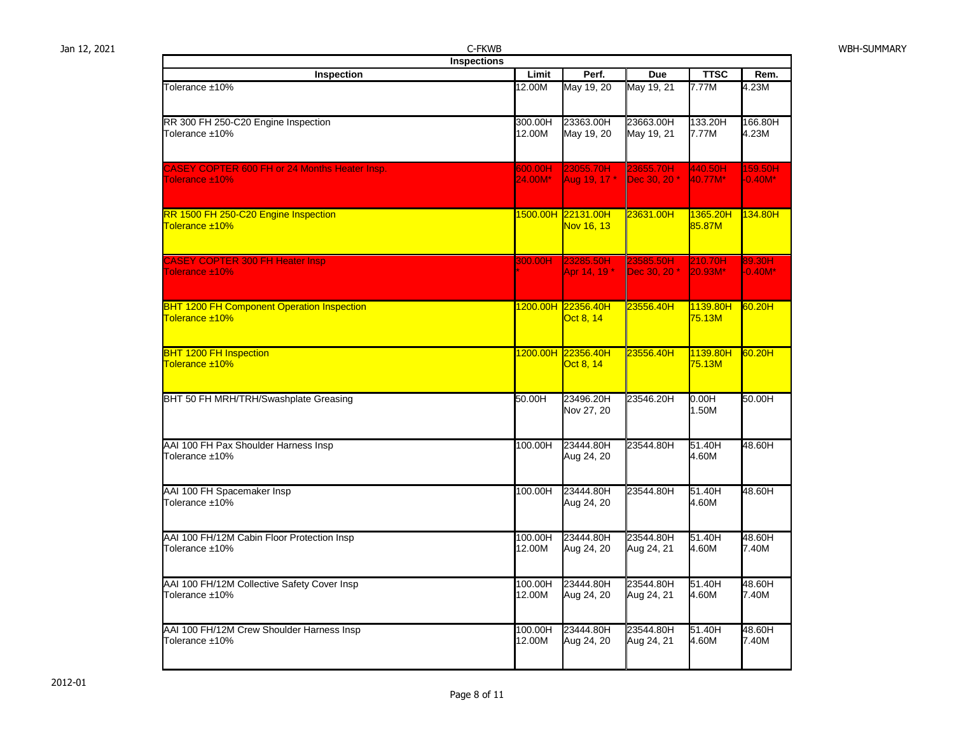Jan 12, 2021 C-FKWB WBH-SUMMARY

| Inspections                                                         |                    |                                               |                                      |                             |                         |  |  |  |  |  |  |
|---------------------------------------------------------------------|--------------------|-----------------------------------------------|--------------------------------------|-----------------------------|-------------------------|--|--|--|--|--|--|
| Inspection                                                          | Limit              | Perf.                                         | <b>Due</b>                           | <b>TTSC</b>                 | Rem.                    |  |  |  |  |  |  |
| Tolerance ±10%                                                      | 12.00M             | May 19, 20                                    | May 19, 21                           | 7.77M                       | 4.23M                   |  |  |  |  |  |  |
| RR 300 FH 250-C20 Engine Inspection<br>Tolerance ±10%               | 300.00H<br>12.00M  | 23363.00H<br>May 19, 20                       | 23663.00H<br>May 19, 21              | 133.20H<br>7.77M            | 166.80H<br>4.23M        |  |  |  |  |  |  |
| CASEY COPTER 600 FH or 24 Months Heater Insp.<br>Tolerance ±10%     | 600.00H<br>24.00M* | 23055.70H<br>Aug 19, 17 *                     | 23655.70H<br>Dec 30, 20 *            | 440.50H<br>40.77M*          | 159.50H<br>$-0.40M^{*}$ |  |  |  |  |  |  |
| RR 1500 FH 250-C20 Engine Inspection<br>Tolerance ±10%              |                    | <mark>1500.00H 22131.00H</mark><br>Nov 16, 13 | 23631.00H                            | 1365.20H<br>85.87M          | 134.80H                 |  |  |  |  |  |  |
| <b>CASEY COPTER 300 FH Heater Insp</b><br>Tolerance ±10%            | 300.00H            | 23285.50H<br>Apr 14, 19 *                     | 23585.50H<br>Dec 30, 20 <sup>*</sup> | 210.70H<br>20.93M*          | 89.30H<br>$-0.40M^*$    |  |  |  |  |  |  |
| <b>BHT 1200 FH Component Operation Inspection</b><br>Tolerance ±10% |                    | 1200.00H 22356.40H<br>Oct 8, 14               | 23556.40H                            | 1139.80H<br>75.13M          | 60.20H                  |  |  |  |  |  |  |
| <b>BHT 1200 FH Inspection</b><br>Tolerance ±10%                     |                    | 1200.00H 22356.40H<br>Oct 8, 14               | 23556.40H                            | 1139.80H<br>75.13M          | 60.20H                  |  |  |  |  |  |  |
| BHT 50 FH MRH/TRH/Swashplate Greasing                               | 50.00H             | 23496.20H<br>Nov 27, 20                       | 23546.20H                            | $0.00\overline{H}$<br>1.50M | 50.00H                  |  |  |  |  |  |  |
| AAI 100 FH Pax Shoulder Harness Insp<br>Tolerance ±10%              | 100.00H            | 23444.80H<br>Aug 24, 20                       | 23544.80H                            | 51.40H<br>4.60M             | 48.60H                  |  |  |  |  |  |  |
| AAI 100 FH Spacemaker Insp<br>Tolerance ±10%                        | 100.00H            | 23444.80H<br>Aug 24, 20                       | 23544.80H                            | 51.40H<br>4.60M             | 48.60H                  |  |  |  |  |  |  |
| AAI 100 FH/12M Cabin Floor Protection Insp<br>Tolerance ±10%        | 100.00H<br>12.00M  | 23444.80H<br>Aug 24, 20                       | 23544.80H<br>Aug 24, 21              | 51.40H<br>4.60M             | 48.60H<br>7.40M         |  |  |  |  |  |  |
| AAI 100 FH/12M Collective Safety Cover Insp<br>Tolerance ±10%       | 100.00H<br>12.00M  | 23444.80H<br>Aug 24, 20                       | 23544.80H<br>Aug 24, 21              | 51.40H<br>4.60M             | 48.60H<br>7.40M         |  |  |  |  |  |  |
| AAI 100 FH/12M Crew Shoulder Harness Insp<br>Tolerance ±10%         | 100.00H<br>12.00M  | 23444.80H<br>Aug 24, 20                       | 23544.80H<br>Aug 24, 21              | 51.40H<br>4.60M             | 48.60H<br>7.40M         |  |  |  |  |  |  |
|                                                                     |                    |                                               |                                      |                             |                         |  |  |  |  |  |  |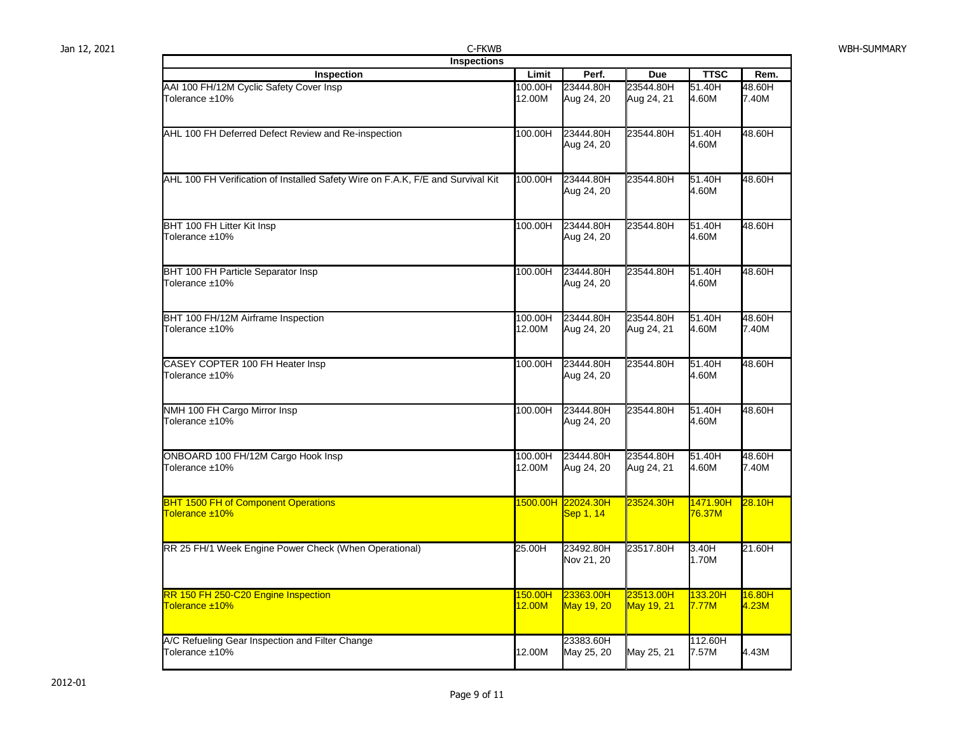| Jan 12, 2021 | C-FKWB                                                                          |                   |                                 |                         |                                 |                 | <b>WBH-SUMMARY</b> |
|--------------|---------------------------------------------------------------------------------|-------------------|---------------------------------|-------------------------|---------------------------------|-----------------|--------------------|
|              | <b>Inspections</b>                                                              |                   |                                 |                         |                                 |                 |                    |
|              | Inspection                                                                      | Limit             | Perf.                           | <b>Due</b>              | <b>TTSC</b>                     | Rem.            |                    |
|              | AAI 100 FH/12M Cyclic Safety Cover Insp<br>Tolerance ±10%                       | 100.00H<br>12.00M | 23444.80H<br>Aug 24, 20         | 23544.80H<br>Aug 24, 21 | 51.40H<br>4.60M                 | 48.60H<br>7.40M |                    |
|              | AHL 100 FH Deferred Defect Review and Re-inspection                             | 100.00H           | 23444.80H<br>Aug 24, 20         | 23544.80H               | 51.40H<br>4.60M                 | 48.60H          |                    |
|              | AHL 100 FH Verification of Installed Safety Wire on F.A.K, F/E and Survival Kit | 100.00H           | 23444.80H<br>Aug 24, 20         | 23544.80H               | 51.40H<br>4.60M                 | 48.60H          |                    |
|              | BHT 100 FH Litter Kit Insp<br>Tolerance ±10%                                    | 100.00H           | 23444.80H<br>Aug 24, 20         | 23544.80H               | 51.40H<br>4.60M                 | 48.60H          |                    |
|              | BHT 100 FH Particle Separator Insp<br>Tolerance ±10%                            | 100.00H           | 23444.80H<br>Aug 24, 20         | 23544.80H               | 51.40H<br>4.60M                 | 48.60H          |                    |
|              | BHT 100 FH/12M Airframe Inspection<br>Tolerance ±10%                            | 100.00H<br>12.00M | 23444.80H<br>Aug 24, 20         | 23544.80H<br>Aug 24, 21 | 51.40H<br>4.60M                 | 48.60H<br>7.40M |                    |
|              | CASEY COPTER 100 FH Heater Insp<br>Tolerance ±10%                               | 100.00H           | 23444.80H<br>Aug 24, 20         | 23544.80H               | 51.40H<br>4.60M                 | 48.60H          |                    |
|              | NMH 100 FH Cargo Mirror Insp<br>Tolerance ±10%                                  | 100.00H           | 23444.80H<br>Aug 24, 20         | 23544.80H               | 51.40H<br>4.60M                 | 48.60H          |                    |
|              | ONBOARD 100 FH/12M Cargo Hook Insp<br>Tolerance ±10%                            | 100.00H<br>12.00M | 23444.80H<br>Aug 24, 20         | 23544.80H<br>Aug 24, 21 | 51.40H<br>4.60M                 | 48.60H<br>7.40M |                    |
|              | <b>BHT 1500 FH of Component Operations</b><br>Tolerance ±10%                    |                   | 1500.00H 22024.30H<br>Sep 1, 14 | 23524.30H               | <mark>1471.90H</mark><br>76.37M | 28.10H          |                    |
|              | RR 25 FH/1 Week Engine Power Check (When Operational)                           | 25.00H            | 23492.80H<br>Nov 21, 20         | 23517.80H               | 3.40H<br>1.70M                  | 21.60H          |                    |
|              | RR 150 FH 250-C20 Engine Inspection<br>Tolerance ±10%                           | 150.00H<br>12.00M | 23363.00H<br>May 19, 20         | 23513.00H<br>May 19, 21 | 133.20H<br>7.77M                | 16.80H<br>4.23M |                    |
|              | A/C Refueling Gear Inspection and Filter Change<br>Tolerance ±10%               | 12.00M            | 23383.60H<br>May 25, 20         | May 25, 21              | 112.60H<br>7.57M                | 4.43M           |                    |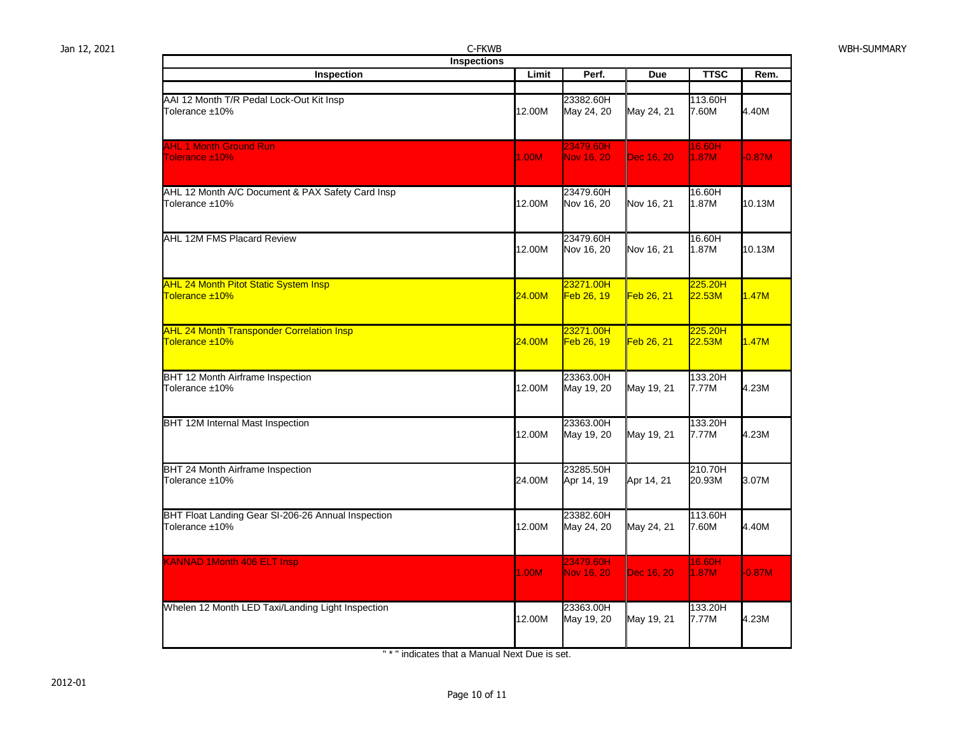Jan 12, 2021 C-FKWB WBH-SUMMARY

| <b>Inspections</b>                                                   |        |                         |                   |                   |          |
|----------------------------------------------------------------------|--------|-------------------------|-------------------|-------------------|----------|
| <b>Inspection</b>                                                    | Limit  | Perf.                   | <b>Due</b>        | <b>TTSC</b>       | Rem.     |
|                                                                      |        |                         |                   |                   |          |
| AAI 12 Month T/R Pedal Lock-Out Kit Insp<br>Tolerance ±10%           | 12.00M | 23382.60H<br>May 24, 20 | May 24, 21        | 113.60H<br>7.60M  | 4.40M    |
| <b>AHL 1 Month Ground Run</b>                                        |        | 23479.60H               |                   | 16.60H            |          |
| Tolerance ±10%                                                       | 1.00M  | Nov 16, 20              | Dec 16, 20        | 1.87M             | $-0.87M$ |
| AHL 12 Month A/C Document & PAX Safety Card Insp<br>Tolerance ±10%   | 12.00M | 23479.60H<br>Nov 16, 20 | Nov 16, 21        | 16.60H<br>1.87M   | 10.13M   |
| AHL 12M FMS Placard Review                                           | 12.00M | 23479.60H<br>Nov 16, 20 | Nov 16, 21        | 16.60H<br>1.87M   | 10.13M   |
| <b>AHL 24 Month Pitot Static System Insp</b><br>Tolerance ±10%       | 24.00M | 23271.00H<br>Feb 26, 19 | Feb 26, 21        | 225.20H<br>22.53M | 1.47M    |
| <b>AHL 24 Month Transponder Correlation Insp</b><br>Tolerance ±10%   | 24.00M | 23271.00H<br>Feb 26, 19 | <b>Feb 26, 21</b> | 225.20H<br>22.53M | 1.47M    |
| BHT 12 Month Airframe Inspection<br>Tolerance ±10%                   | 12.00M | 23363.00H<br>May 19, 20 | May 19, 21        | 133.20H<br>7.77M  | 4.23M    |
| BHT 12M Internal Mast Inspection                                     | 12.00M | 23363.00H<br>May 19, 20 | May 19, 21        | 133.20H<br>7.77M  | 4.23M    |
| BHT 24 Month Airframe Inspection<br>Tolerance ±10%                   | 24.00M | 23285.50H<br>Apr 14, 19 | Apr 14, 21        | 210.70H<br>20.93M | 3.07M    |
| BHT Float Landing Gear SI-206-26 Annual Inspection<br>Tolerance ±10% | 12.00M | 23382.60H<br>May 24, 20 | May 24, 21        | 113.60H<br>7.60M  | 4.40M    |
| <b>KANNAD 1Month 406 ELT Insp</b>                                    | 1.00M  | 23479.60H<br>Nov 16, 20 | Dec 16, 20        | 16.60H<br>1.87M   | $-0.87M$ |
| Whelen 12 Month LED Taxi/Landing Light Inspection                    | 12.00M | 23363.00H<br>May 19, 20 | May 19, 21        | 133.20H<br>7.77M  | 4.23M    |

" \* " indicates that a Manual Next Due is set.